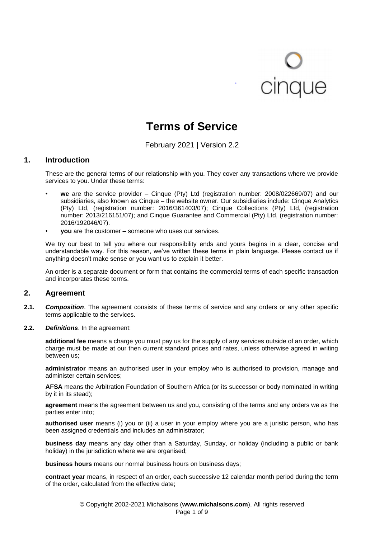# cinque

# **Terms of Service**

February 2021 | Version 2.2

#### **1. Introduction**

These are the general terms of our relationship with you. They cover any transactions where we provide services to you. Under these terms:

- **we** are the service provider Cinque (Pty) Ltd (registration number: 2008/022669/07) and our subsidiaries, also known as Cinque – the website owner. Our subsidiaries include: Cinque Analytics (Pty) Ltd, (registration number: 2016/361403/07); Cinque Collections (Pty) Ltd, (registration number: 2013/216151/07); and Cinque Guarantee and Commercial (Pty) Ltd, (registration number: 2016/192046/07).
- **you** are the customer someone who uses our services.

We try our best to tell you where our responsibility ends and yours begins in a clear, concise and understandable way. For this reason, we've written these terms in plain language. Please contact us if anything doesn't make sense or you want us to explain it better.

An order is a separate document or form that contains the commercial terms of each specific transaction and incorporates these terms.

#### **2. Agreement**

- **2.1.** *Composition*. The agreement consists of these terms of service and any orders or any other specific terms applicable to the services.
- **2.2.** *Definitions*. In the agreement:

**additional fee** means a charge you must pay us for the supply of any services outside of an order, which charge must be made at our then current standard prices and rates, unless otherwise agreed in writing between us;

**administrator** means an authorised user in your employ who is authorised to provision, manage and administer certain services;

**AFSA** means the Arbitration Foundation of Southern Africa (or its successor or body nominated in writing by it in its stead);

**agreement** means the agreement between us and you, consisting of the terms and any orders we as the parties enter into;

**authorised user** means (i) you or (ii) a user in your employ where you are a juristic person, who has been assigned credentials and includes an administrator;

**business day** means any day other than a Saturday, Sunday, or holiday (including a public or bank holiday) in the jurisdiction where we are organised;

**business hours** means our normal business hours on business days;

**contract year** means, in respect of an order, each successive 12 calendar month period during the term of the order, calculated from the effective date;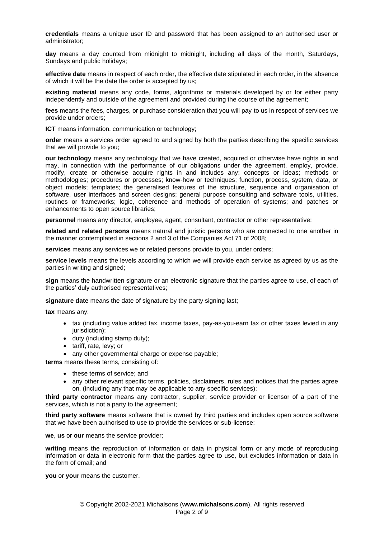**credentials** means a unique user ID and password that has been assigned to an authorised user or administrator;

**day** means a day counted from midnight to midnight, including all days of the month, Saturdays, Sundays and public holidays;

**effective date** means in respect of each order, the effective date stipulated in each order, in the absence of which it will be the date the order is accepted by us;

**existing material** means any code, forms, algorithms or materials developed by or for either party independently and outside of the agreement and provided during the course of the agreement;

**fees** means the fees, charges, or purchase consideration that you will pay to us in respect of services we provide under orders;

**ICT** means information, communication or technology;

**order** means a services order agreed to and signed by both the parties describing the specific services that we will provide to you;

**our technology** means any technology that we have created, acquired or otherwise have rights in and may, in connection with the performance of our obligations under the agreement, employ, provide, modify, create or otherwise acquire rights in and includes any: concepts or ideas; methods or methodologies; procedures or processes; know-how or techniques; function, process, system, data, or object models; templates; the generalised features of the structure, sequence and organisation of software, user interfaces and screen designs; general purpose consulting and software tools, utilities, routines or frameworks; logic, coherence and methods of operation of systems; and patches or enhancements to open source libraries;

**personnel** means any director, employee, agent, consultant, contractor or other representative;

**related and related persons** means natural and juristic persons who are connected to one another in the manner contemplated in sections 2 and 3 of the Companies Act 71 of 2008;

**services** means any services we or related persons provide to you, under orders;

**service levels** means the levels according to which we will provide each service as agreed by us as the parties in writing and signed;

**sign** means the handwritten signature or an electronic signature that the parties agree to use, of each of the parties' duly authorised representatives;

**signature date** means the date of signature by the party signing last;

**tax** means any:

- tax (including value added tax, income taxes, pay-as-you-earn tax or other taxes levied in any jurisdiction);
- duty (including stamp duty);
- tariff, rate, levy; or
- any other governmental charge or expense payable;

**terms** means these terms, consisting of:

- these terms of service; and
- any other relevant specific terms, policies, disclaimers, rules and notices that the parties agree on, (including any that may be applicable to any specific services);

**third party contractor** means any contractor, supplier, service provider or licensor of a part of the services, which is not a party to the agreement;

**third party software** means software that is owned by third parties and includes open source software that we have been authorised to use to provide the services or sub-license;

**we**, **us** or **our** means the service provider;

**writing** means the reproduction of information or data in physical form or any mode of reproducing information or data in electronic form that the parties agree to use, but excludes information or data in the form of email; and

**you** or **your** means the customer.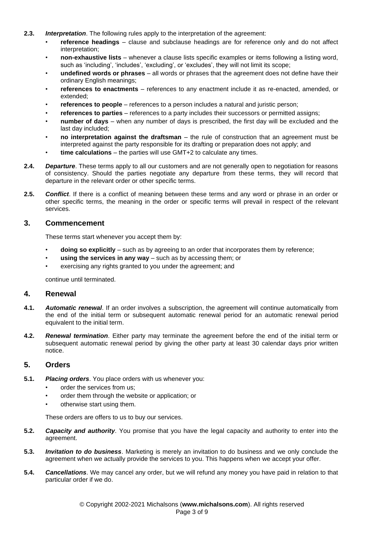- **2.3.** *Interpretation*. The following rules apply to the interpretation of the agreement:
	- **reference headings** clause and subclause headings are for reference only and do not affect interpretation;
	- **non-exhaustive lists** whenever a clause lists specific examples or items following a listing word, such as 'including', 'includes', 'excluding', or 'excludes', they will not limit its scope;
	- **undefined words or phrases** all words or phrases that the agreement does not define have their ordinary English meanings;
	- **references to enactments** references to any enactment include it as re-enacted, amended, or extended;
	- **references to people** references to a person includes a natural and juristic person;
	- **references to parties** references to a party includes their successors or permitted assigns;
	- **number of days** when any number of days is prescribed, the first day will be excluded and the last day included;
	- **no interpretation against the draftsman** the rule of construction that an agreement must be interpreted against the party responsible for its drafting or preparation does not apply; and
	- **time calculations** the parties will use GMT+2 to calculate any times.
- **2.4.** *Departure*. These terms apply to all our customers and are not generally open to negotiation for reasons of consistency. Should the parties negotiate any departure from these terms, they will record that departure in the relevant order or other specific terms.
- **2.5.** *Conflict*. If there is a conflict of meaning between these terms and any word or phrase in an order or other specific terms, the meaning in the order or specific terms will prevail in respect of the relevant services.

#### **3. Commencement**

These terms start whenever you accept them by:

- **doing so explicitly** such as by agreeing to an order that incorporates them by reference;
- **using the services in any way** such as by accessing them; or
- exercising any rights granted to you under the agreement; and

continue until terminated.

#### **4. Renewal**

- **4.1.** *Automatic renewal*. If an order involves a subscription, the agreement will continue automatically from the end of the initial term or subsequent automatic renewal period for an automatic renewal period equivalent to the initial term.
- **4.2.** *Renewal termination*. Either party may terminate the agreement before the end of the initial term or subsequent automatic renewal period by giving the other party at least 30 calendar days prior written notice.

# **5. Orders**

- **5.1.** *Placing orders*. You place orders with us whenever you:
	- order the services from us;
	- order them through the website or application; or
	- otherwise start using them.

These orders are offers to us to buy our services.

- **5.2.** *Capacity and authority*. You promise that you have the legal capacity and authority to enter into the agreement.
- **5.3.** *Invitation to do business*. Marketing is merely an invitation to do business and we only conclude the agreement when we actually provide the services to you. This happens when we accept your offer.
- **5.4.** *Cancellations*. We may cancel any order, but we will refund any money you have paid in relation to that particular order if we do.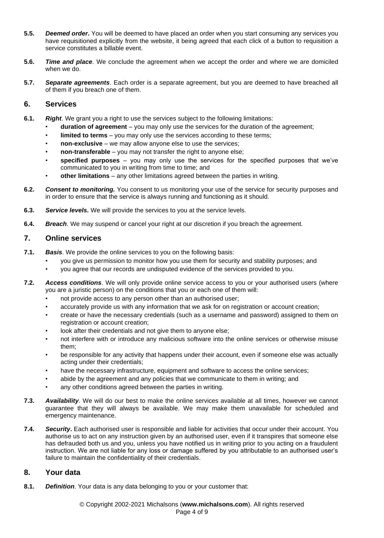- **5.5.** *Deemed order***.** You will be deemed to have placed an order when you start consuming any services you have requisitioned explicitly from the website, it being agreed that each click of a button to requisition a service constitutes a billable event.
- **5.6.** *Time and place*. We conclude the agreement when we accept the order and where we are domiciled when we do.
- **5.7.** *Separate agreements*. Each order is a separate agreement, but you are deemed to have breached all of them if you breach one of them.

# **6. Services**

- **6.1.** *Right*. We grant you a right to use the services subject to the following limitations:
	- **duration of agreement** you may only use the services for the duration of the agreement;
	- **limited to terms** you may only use the services according to these terms;
	- **non-exclusive** we may allow anyone else to use the services;
	- **non-transferable** you may not transfer the right to anyone else;
	- **specified purposes** you may only use the services for the specified purposes that we've communicated to you in writing from time to time; and
	- **other limitations** any other limitations agreed between the parties in writing.
- **6.2.** *Consent to monitoring.* You consent to us monitoring your use of the service for security purposes and in order to ensure that the service is always running and functioning as it should.
- **6.3.** *Service levels.* We will provide the services to you at the service levels.
- **6.4.** *Breach*. We may suspend or cancel your right at our discretion if you breach the agreement.

# **7. Online services**

- **7.1.** *Basis*. We provide the online services to you on the following basis:
	- you give us permission to monitor how you use them for security and stability purposes; and
	- you agree that our records are undisputed evidence of the services provided to you.
- **7.2.** *Access conditions*. We will only provide online service access to you or your authorised users (where you are a juristic person) on the conditions that you or each one of them will:
	- not provide access to any person other than an authorised user;
	- accurately provide us with any information that we ask for on registration or account creation;
	- create or have the necessary credentials (such as a username and password) assigned to them on registration or account creation;
	- look after their credentials and not give them to anyone else;
	- not interfere with or introduce any malicious software into the online services or otherwise misuse them;
	- be responsible for any activity that happens under their account, even if someone else was actually acting under their credentials;
	- have the necessary infrastructure, equipment and software to access the online services;
	- abide by the agreement and any policies that we communicate to them in writing; and
	- any other conditions agreed between the parties in writing.
- **7.3.** *Availability*. We will do our best to make the online services available at all times, however we cannot guarantee that they will always be available. We may make them unavailable for scheduled and emergency maintenance.
- **7.4.** *Security***.** Each authorised user is responsible and liable for activities that occur under their account. You authorise us to act on any instruction given by an authorised user, even if it transpires that someone else has defrauded both us and you, unless you have notified us in writing prior to you acting on a fraudulent instruction. We are not liable for any loss or damage suffered by you attributable to an authorised user's failure to maintain the confidentiality of their credentials.

# **8. Your data**

**8.1.** *Definition*. Your data is any data belonging to you or your customer that: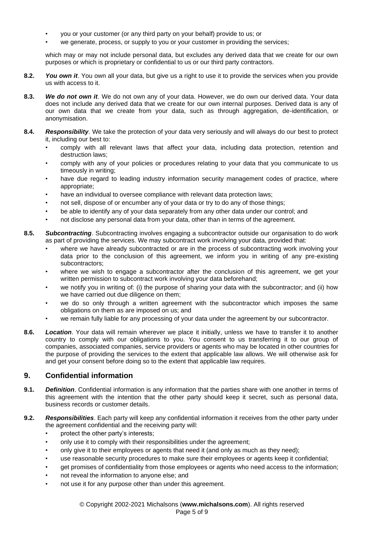- you or your customer (or any third party on your behalf) provide to us; or
- we generate, process, or supply to you or your customer in providing the services;

which may or may not include personal data, but excludes any derived data that we create for our own purposes or which is proprietary or confidential to us or our third party contractors.

- **8.2.** *You own it*. You own all your data, but give us a right to use it to provide the services when you provide us with access to it.
- **8.3.** *We do not own it*. We do not own any of your data. However, we do own our derived data. Your data does not include any derived data that we create for our own internal purposes. Derived data is any of our own data that we create from your data, such as through aggregation, de-identification, or anonymisation.
- **8.4.** *Responsibility*. We take the protection of your data very seriously and will always do our best to protect it, including our best to:
	- comply with all relevant laws that affect your data, including data protection, retention and destruction laws;
	- comply with any of your policies or procedures relating to your data that you communicate to us timeously in writing;
	- have due regard to leading industry information security management codes of practice, where appropriate;
	- have an individual to oversee compliance with relevant data protection laws;
	- not sell, dispose of or encumber any of your data or try to do any of those things;
	- be able to identify any of your data separately from any other data under our control; and
	- not disclose any personal data from your data, other than in terms of the agreement.
- **8.5.** *Subcontracting*. Subcontracting involves engaging a subcontractor outside our organisation to do work as part of providing the services. We may subcontract work involving your data, provided that:
	- where we have already subcontracted or are in the process of subcontracting work involving your data prior to the conclusion of this agreement, we inform you in writing of any pre-existing subcontractors;
	- where we wish to engage a subcontractor after the conclusion of this agreement, we get your written permission to subcontract work involving your data beforehand;
	- we notify you in writing of: (i) the purpose of sharing your data with the subcontractor; and (ii) how we have carried out due diligence on them;
	- we do so only through a written agreement with the subcontractor which imposes the same obligations on them as are imposed on us; and
	- we remain fully liable for any processing of your data under the agreement by our subcontractor.
- **8.6.** *Location*. Your data will remain wherever we place it initially, unless we have to transfer it to another country to comply with our obligations to you. You consent to us transferring it to our group of companies, associated companies, service providers or agents who may be located in other countries for the purpose of providing the services to the extent that applicable law allows. We will otherwise ask for and get your consent before doing so to the extent that applicable law requires.

# **9. Confidential information**

- **9.1.** *Definition*. Confidential information is any information that the parties share with one another in terms of this agreement with the intention that the other party should keep it secret, such as personal data, business records or customer details.
- **9.2.** *Responsibilities*. Each party will keep any confidential information it receives from the other party under the agreement confidential and the receiving party will:
	- protect the other party's interests;
	- only use it to comply with their responsibilities under the agreement;
	- only give it to their employees or agents that need it (and only as much as they need);
	- use reasonable security procedures to make sure their employees or agents keep it confidential;
	- get promises of confidentiality from those employees or agents who need access to the information;
	- not reveal the information to anyone else; and
	- not use it for any purpose other than under this agreement.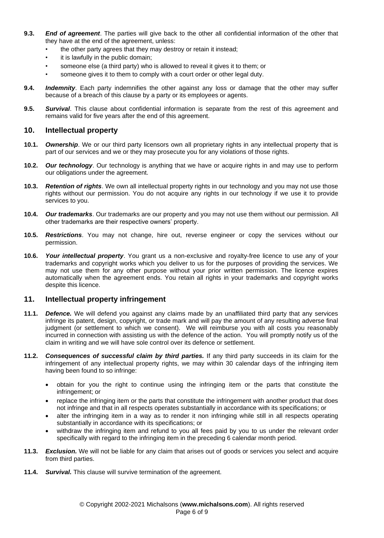- **9.3.** *End of agreement*. The parties will give back to the other all confidential information of the other that they have at the end of the agreement, unless:
	- the other party agrees that they may destroy or retain it instead;
	- it is lawfully in the public domain;
	- someone else (a third party) who is allowed to reveal it gives it to them; or
	- someone gives it to them to comply with a court order or other legal duty.
- **9.4.** *Indemnity*. Each party indemnifies the other against any loss or damage that the other may suffer because of a breach of this clause by a party or its employees or agents.
- **9.5.** *Survival*. This clause about confidential information is separate from the rest of this agreement and remains valid for five years after the end of this agreement.

#### **10. Intellectual property**

- **10.1.** *Ownership*. We or our third party licensors own all proprietary rights in any intellectual property that is part of our services and we or they may prosecute you for any violations of those rights.
- **10.2.** *Our technology*. Our technology is anything that we have or acquire rights in and may use to perform our obligations under the agreement.
- **10.3.** *Retention of rights*. We own all intellectual property rights in our technology and you may not use those rights without our permission. You do not acquire any rights in our technology if we use it to provide services to you.
- **10.4.** *Our trademarks*. Our trademarks are our property and you may not use them without our permission. All other trademarks are their respective owners' property.
- **10.5.** *Restrictions*. You may not change, hire out, reverse engineer or copy the services without our permission.
- **10.6.** *Your intellectual property*. You grant us a non-exclusive and royalty-free licence to use any of your trademarks and copyright works which you deliver to us for the purposes of providing the services. We may not use them for any other purpose without your prior written permission. The licence expires automatically when the agreement ends. You retain all rights in your trademarks and copyright works despite this licence.

#### **11. Intellectual property infringement**

- **11.1.** *Defence.* We will defend you against any claims made by an unaffiliated third party that any services infringe its patent, design, copyright, or trade mark and will pay the amount of any resulting adverse final judgment (or settlement to which we consent). We will reimburse you with all costs you reasonably incurred in connection with assisting us with the defence of the action. You will promptly notify us of the claim in writing and we will have sole control over its defence or settlement.
- **11.2.** *Consequences of successful claim by third parties.* If any third party succeeds in its claim for the infringement of any intellectual property rights, we may within 30 calendar days of the infringing item having been found to so infringe:
	- obtain for you the right to continue using the infringing item or the parts that constitute the infringement; or
	- replace the infringing item or the parts that constitute the infringement with another product that does not infringe and that in all respects operates substantially in accordance with its specifications; or
	- alter the infringing item in a way as to render it non infringing while still in all respects operating substantially in accordance with its specifications; or
	- withdraw the infringing item and refund to you all fees paid by you to us under the relevant order specifically with regard to the infringing item in the preceding 6 calendar month period.
- **11.3.** *Exclusion.* We will not be liable for any claim that arises out of goods or services you select and acquire from third parties.
- **11.4.** *Survival.* This clause will survive termination of the agreement.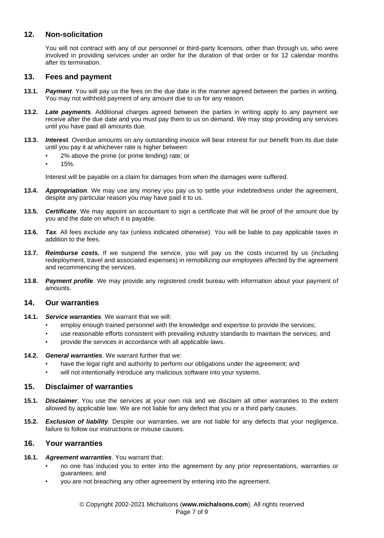# **12. Non-solicitation**

You will not contract with any of our personnel or third-party licensors, other than through us, who were involved in providing services under an order for the duration of that order or for 12 calendar months after its termination.

### **13. Fees and payment**

- **13.1.** *Payment*. You will pay us the fees on the due date in the manner agreed between the parties in writing. You may not withhold payment of any amount due to us for any reason.
- **13.2.** *Late payments*. Additional charges agreed between the parties in writing apply to any payment we receive after the due date and you must pay them to us on demand. We may stop providing any services until you have paid all amounts due.
- **13.3.** *Interest*. Overdue amounts on any outstanding invoice will bear interest for our benefit from its due date until you pay it at whichever rate is higher between:
	- 2% above the prime (or prime lending) rate; or
	- 15%.

Interest will be payable on a claim for damages from when the damages were suffered.

- **13.4.** *Appropriation*. We may use any money you pay us to settle your indebtedness under the agreement, despite any particular reason you may have paid it to us.
- **13.5.** *Certificate*. We may appoint an accountant to sign a certificate that will be proof of the amount due by you and the date on which it is payable.
- **13.6.** *Tax*. All fees exclude any tax (unless indicated otherwise). You will be liable to pay applicable taxes in addition to the fees.
- **13.7.** *Reimburse costs.* If we suspend the service, you will pay us the costs incurred by us (including redeployment, travel and associated expenses) in remobilizing our employees affected by the agreement and recommencing the services.
- **13.8.** *Payment profile*. We may provide any registered credit bureau with information about your payment of amounts.

#### **14. Our warranties**

- **14.1.** *Service warranties*. We warrant that we will:
	- employ enough trained personnel with the knowledge and expertise to provide the services;
	- use reasonable efforts consistent with prevailing industry standards to maintain the services; and
	- provide the services in accordance with all applicable laws.
- **14.2.** *General warranties*. We warrant further that we:
	- have the legal right and authority to perform our obligations under the agreement; and
	- will not intentionally introduce any malicious software into your systems.

#### **15. Disclaimer of warranties**

- **15.1.** *Disclaimer*. You use the services at your own risk and we disclaim all other warranties to the extent allowed by applicable law. We are not liable for any defect that you or a third party causes.
- **15.2.** *Exclusion of liability*. Despite our warranties, we are not liable for any defects that your negligence, failure to follow our instructions or misuse causes.

# **16. Your warranties**

- **16.1.** *Agreement warranties*. You warrant that:
	- no one has induced you to enter into the agreement by any prior representations, warranties or guarantees; and
	- you are not breaching any other agreement by entering into the agreement.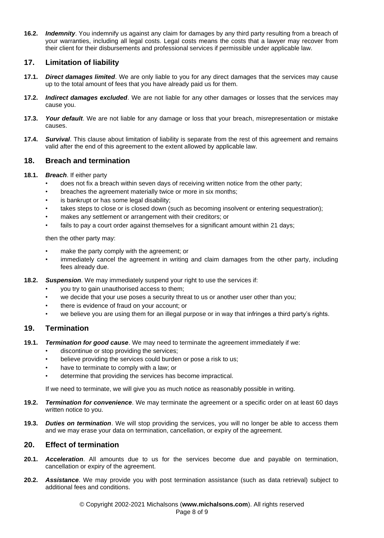**16.2.** *Indemnity*. You indemnify us against any claim for damages by any third party resulting from a breach of your warranties, including all legal costs. Legal costs means the costs that a lawyer may recover from their client for their disbursements and professional services if permissible under applicable law.

# **17. Limitation of liability**

- **17.1.** *Direct damages limited*. We are only liable to you for any direct damages that the services may cause up to the total amount of fees that you have already paid us for them.
- **17.2.** *Indirect damages excluded*. We are not liable for any other damages or losses that the services may cause you.
- **17.3.** *Your default*. We are not liable for any damage or loss that your breach, misrepresentation or mistake causes.
- **17.4.** *Survival*. This clause about limitation of liability is separate from the rest of this agreement and remains valid after the end of this agreement to the extent allowed by applicable law.

# **18. Breach and termination**

#### **18.1.** *Breach*. If either party

- does not fix a breach within seven days of receiving written notice from the other party;
- breaches the agreement materially twice or more in six months;
- is bankrupt or has some legal disability;
- takes steps to close or is closed down (such as becoming insolvent or entering sequestration);
- makes any settlement or arrangement with their creditors; or
- fails to pay a court order against themselves for a significant amount within 21 days;

then the other party may:

- make the party comply with the agreement; or
- immediately cancel the agreement in writing and claim damages from the other party, including fees already due.
- **18.2.** *Suspension*. We may immediately suspend your right to use the services if:
	- you try to gain unauthorised access to them;
	- we decide that your use poses a security threat to us or another user other than you;
	- there is evidence of fraud on your account; or
	- we believe you are using them for an illegal purpose or in way that infringes a third party's rights.

#### **19. Termination**

- **19.1.** *Termination for good cause*. We may need to terminate the agreement immediately if we:
	- discontinue or stop providing the services;
	- believe providing the services could burden or pose a risk to us;
	- have to terminate to comply with a law; or
	- determine that providing the services has become impractical.

If we need to terminate, we will give you as much notice as reasonably possible in writing.

- **19.2.** *Termination for convenience*. We may terminate the agreement or a specific order on at least 60 days written notice to you.
- **19.3.** *Duties on termination*. We will stop providing the services, you will no longer be able to access them and we may erase your data on termination, cancellation, or expiry of the agreement.

# **20. Effect of termination**

- **20.1.** *Acceleration*. All amounts due to us for the services become due and payable on termination, cancellation or expiry of the agreement.
- **20.2.** *Assistance*. We may provide you with post termination assistance (such as data retrieval) subject to additional fees and conditions.